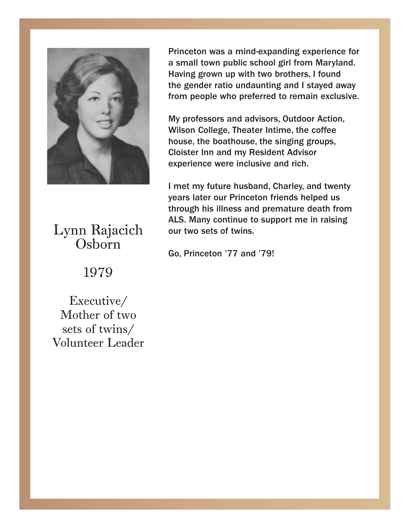

USDOIII Lynn Rajacich Osborn

1979

Executive/ sets of twins/  $\overline{\phantom{a}}$ Mother of two Volunteer Leader

Princeton was a mind-expanding experience for Princeton was a mind-expanding experience for a small town public school girl from Maryland. a small town public school girl from Maryland. Having grown up with two brothers, I found the gender ratio undaunting and I stayed away from people who preferred to remain exclusive.

My professors and advisors, Outdoor Action, whson college, Theater Intime, the corree<br>house, the boathouse, the singing groups, house, the boathouse, the singing groups, Cloister Inn and my Resident Advisor experience were inclusive and rich. Wilson College, Theater Intime, the coffee

years later our Princeton friends helped us through his illness and premature death from ALS. Many continue to support me in raising our two sets of twins. I met my future husband, Charley, and twenty

Drivector  $^{777}$  crd  $^{7701}$ Go, Princeton '77 and '79!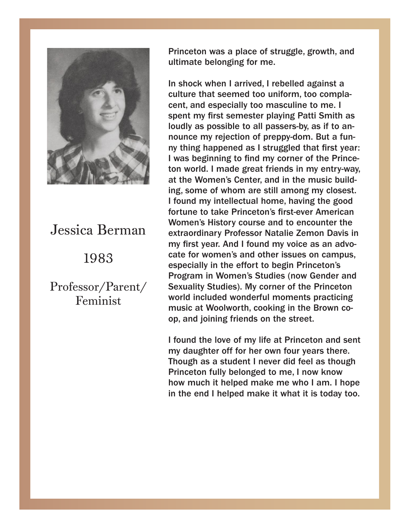

# Jessica Berman 1983 Jessica Berman

Professor/Parent/ Feminist

Princeton was a place of struggle, growth, and ultimate belonging for me. ultimate belonging for me.

In shock when I arrived, I rebelled against a<br>culture that seemed too uniform, too complaculture that seemed too uniform, too complete cent, and especially too masculine to me. I spent my first semester playing Patti Smith as loudly as possible to all passers-by, as if to announce my rejection of preppy-dom. But a fun-<br>nounce happened as Latyre ded that first veau if thing happened as I struggled that hist year.<br>I was beginning to find my corner of the Princeand a function of the first control terms of the structure of the first control of the terms of the terms of the terms of the terms of the terms of the terms of the terms of the terms of the terms of the terms of the terms at the Women's Center, and in the music building, some of whom are still among my closest. I found my intellectual home, having the good music building, increasing inserver American<br>Women's History course and to encounter the extraordinary Professor Natalie Zemon Davis in my first year. And I found my voice as an advocate for women's and other issues on campus, especially in the effort to begin Princeton's<br>Program in Women's Studies (now Gender and **EXECUTE IN ADVISION DAVIS STARKS (NOW OCTRUCT AND I DAVIS SEXUALLY STARK)** world included wonderful moments practicing music at Woolworth, cooking in the Brown coop, and joining friends on the street. In shock when I arrived, I rebelled against a ny thing happened as I struggled that first year: fortune to take Princeton's first-ever American especially in the effort to begin Princeton's

I found the love of my life at Princeton and sent riound the fore of my file at Filhoeton and sent. Though as a student I never did feel as though Princeton fully belonged to me, I now know how much it helped make me who I am. I hope in the end I helped make it what it is today too.

I found the love of my life at Princeton and sent

Princeton fully belonged to me, I now know how

my daughter off for her own four years there. Though as a student I never did feel as the student I never did feel as the student in the student of the student

much it helped make me who I am. I hope in the who I am. the end I helped make it is to day to day to day to day to day to day to day to day to day to day to day to da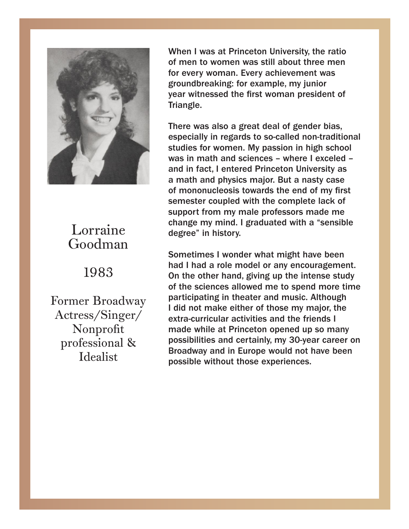

### Lorraine Goodman

#### 1999 1983

Former Broadway professional  $\&$   $\begin{array}{c} \text{p} \\ \text{B} \end{array}$ Iucalist Actress/Singer/ Nonprofit Idealist

When I was at Princeton University, the ratio  $\overline{\phantom{a}}$  . The ratio  $\overline{\phantom{a}}$ of men to women was still about three men every woman. Every achievement was for every woman. Every achievement was groundbreaking: for example, my junior<br>year witnessed the first werean president of year witnessed the first woman president of **Triangle.**<br>Triangle Triangle.

There was also a great deal of gender bias, There was also a great deal of gender bias, especially in regards to so-called non-traditional especially in regards to so-called non-traditional studies for women. My passion in high school was in math and sciences – where I exceled – was in math and sciences – where I exceled – where  $\sim$ a math and physics major. But a nasty case of mononucleosis towards the end of my first semester coupled with the complete lack of support from my male professors made me<br>change my mind. I graduated with a "sensible support from my male professors made measured materials of the measured measured in the measured measured in the measured of the measured of the measured of the measured of the measured of the measured of the measured of t change my mind. I graduated with a "sensible with a "sensible with a "sensible with a "sensible with a "sensible with a "sensible with a "sensible with a "sensible with a "sensible with a "sensible with a "sensible with a studies for women. My passion in high school support from my male professors made me

Sometimes I wonder what might have been of the sciences allowed me to spend more time participating in theater and music. Although I did not make either of those my major, the extra-curricular activities and the friends I made while at Princeton opened up so many<br>possibilities and certainly, my 30-year career on possismities and certainly, my extra direct on the procedure material problem. possible without those experiences. The friends I made the friends I made the friends I made to the friends in had I had a role model or any encouragement. On the other hand, giving up the intense study made while at Princeton opened up so many

while at Princeton opened up so many social at Princeton

possibilities and certainly, my 30-year career on

Broadway and in Europe would not have been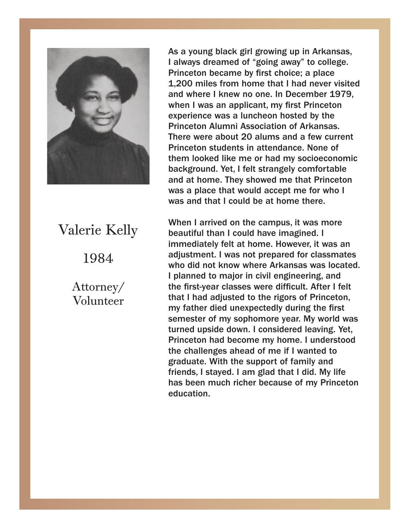

## 1984  $\frac{1}{2}$ Valerie Kelly

Attorney/ Volunteer

As a young black girl growing up in Arkansas, I always dreamed of "going away" to college. Princeton became by first choice, a place<br>1,200 miles from home that I had never visited miles from home that I had never visited and where I knew no one. In December 1979, when I was an applicant, my first Princeton  $\blacksquare$  experience was a luncheon hosted by the Princeton Alumni Association of Arkansas.<br>There were about 20 alums and a few current Princeton students in attendance. None of them looked like me or had my socioeconomic background. Yet, I felt strangely comfortable and at home. They showed me that Princeton was a place that would accept the for who is a strangely place that would be at home there. and at home. They showed me that Princeton Princeton became by first choice; a place Princeton Alumni Association of Arkansas. was a place that would accept me for who I

When I arrived on the campus, it was more  $\begin{array}{|c|c|c|}\hline \textbf{1} & \textbf{2} & \textbf{3} & \textbf{4} & \textbf{5} \ \hline \textbf{3} & \textbf{4} & \textbf{5} & \textbf{6} & \textbf{7} & \textbf{8} \ \hline \textbf{4} & \textbf{5} & \textbf{6} & \textbf{7} & \textbf{8} & \textbf{8} & \textbf{9} \ \hline \textbf{5} & \textbf{6} & \textbf{7} & \textbf{8} &$ beautiful than I could have imagined. I<br>immediately fall at home Hourous it was an who did not know where Arkansas was located. I planned to major in civil engineering, and the first-year classes were difficult. After I felt mat I had adjusted to the rigors of Princeton,<br>my father died unexpectedly during the first my rather area anoxpectedly daring the mot turned upside down. I considered leaving. Yet, Princeton had become my home. I understood the challenges ahead of me if I wanted to<br>graduate. With the cunnert of family and graduate. With the support of larning and<br>friends, I stayed. I am glad that I did. My life has been much richer because of my Princeton tion. I considered upside down. I considered upside  $\mathbb{R}^n$ immediately felt at home. However, it was an adjustment. I was not prepared for classmates that I had adjusted to the rigors of Princeton, graduate. With the support of family and education.

Princeton had become my home. I understood

the challenges ahead of me if I wanted to

graduate. With the support of family and

friends, I did. I did. I did. I did. My life that I did. My life that I did. My life that I did. My life that

has been much richer because of my Princeton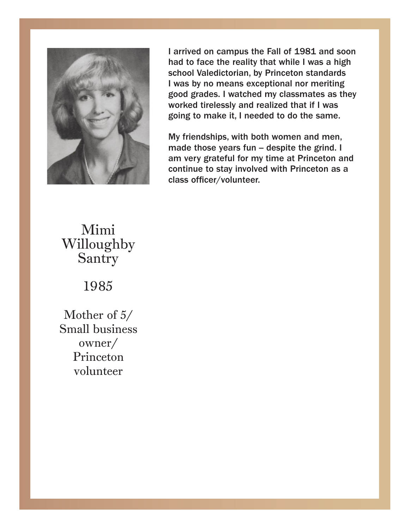

I arrived on campus the Fall of 1981 and soon had to face the reality that while I was a high had to face the reality that while I was a high school Valedictorian, by Princeton standards I was by no means exceptional nor meriting good grades. I watched my classmates as they<br>warked tirelessly and realized that if I was worked theressly and realized that if I was<br>going to make it, I needed to do the same. to make it, I needed to do the same. worked tirelessly and realized that if I was

made those years fun -- despite the grind. I am very grateful for my time at Princeton and<br>continue to stay involved with Princeton as a verming to stay involved with Filhoeten as a class officer/volunteer. continue to stay involved with Princeton as a My friendships, with both women and men, am very grateful for my time at Princeton and

#### mougne<br>Santry Mimi Willoughby

 $1095$ Santry 1985

Mother of 5/<br>Small busines Princeton<br>volunteer Small business owner/ Princeton volunteer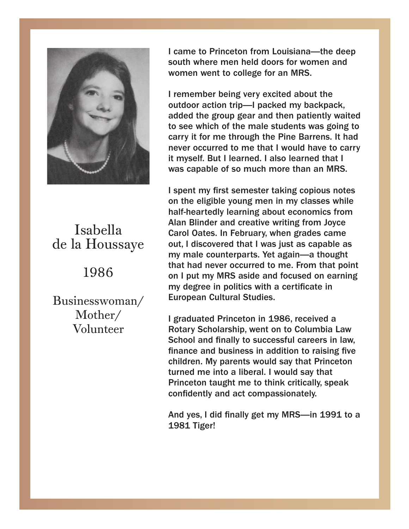

#### la **Trouppe** Isabella de la Houssaye

## 1986

Businesswoman/ Mother/ Volunteer

**I** came to Princeton from Louisiana—the deep south where men held doors for women and south where men held doors for women and women went to college for an MRS. women went to college for an MRS.

I remember being very excited about the I remember being very excited about the outdoor action trip—I packed my backpack,<br>added the group gear and then patiently waited added the group gear and then patiently matted to see which of the male students was going to carry it for me through the Pine Barrens. It had never occurred to me that I would have to carry ysen. But I learned. I also learned that I<br>concelle of co-much more than an MBC  $\frac{1}{2}$  also little more than all myself. outdoor action trip—I packed my backpack, it myself. But I learned. I also learned that I was capable of so much more than an MRS.

I spent my first semester taking copious notes half-heartedly learning about economics from Alan Billiuer and creative whiting from Joyce<br>Carol Oates. In February, when grades came balfor baltber in Fost aarty, micht graagbroamic<br>out, I discovered that I was just as capable as my male counterparts. Yet again—a thought that had never occurred to me. From that point on I put my MRS aside and focused on earning my degree in pontics with a certificate in and the state of the state of the state of the state of the state of the state of the state of the state of the state of the state of the state of the state of the state of the st that had never occurred to me. From that point  $\mathbb{R}^n$ on the eligible young men in my classes while Alan Blinder and creative writing from Joyce my degree in politics with a certificate in

I graduated Princeton in 1986, received and and for earning princeton in 1986, received a Rotary Scholarship, went on to Columbia Law School and finally to successful careers in law,<br>finance and business in addition to raising five turned me into a liberal. I would say that Princeton taught me to think critically, speak confidently and act compassionately. finance and business in addition to raising five children. My parents would say that Princeton

 $f$  vested did finally set my MRS in 1991 to a  $\frac{1}{2}$  Tiger! And yes, I did finally get my MRS—in 1991 to a 1981 Tiger!

1981 Tiger!

turned me into a liberal. I would say that

Princeton taught me to think critically, speak

And yes, I did finally get my MRS—in 1991 to a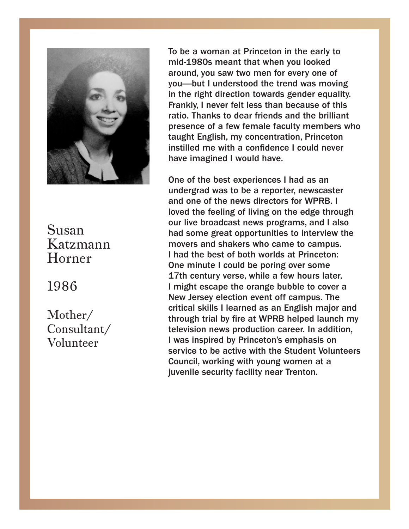

#### Katzmann<br>Horner Susan Katzmann

#### $\mathcal{L}$ 1986

Mother/  $\frac{1}{2}$ Consultant/ Volunteer

To be a woman at Princeton in the early to midmid-1980s meant that when you looked around, you saw two men for every one of you—but I understood the trend was moving<br>in the right direction towards gender equality. m the right direction towards gender equality.<br>Frankly, I never felt less than because of this ratio. Thanks to dear friends and the brilliant presence of a few female faculty members who taught English, my concentration, Princeton instilled me with a confidence I could never have imagined I would have. you—but I understood the trend was moving

have imagined I would have. undergrad was to be a reporter, newscaster<br>and one of the news directors for WPRB. I and one or the news directors for Wind. The and one of the feeling of living on the edge through our live broadcast news programs, and I also had some great opportunities to interview the movers and shakers who came to campus. I had the best of both worlds at Princeton: One minute I could be poring over some 17th century verse, while a few hours later, I might escape the orange bubble to cover a **I might escape the orange bubble to cover a** new Jersey election event on campus. The<br>critical skills I learned as an English major and binded skins I fearned as an English major and<br>through trial by fire at WPRB helped launch my monger manns, and critical script a manufactory I was inspired by Princeton's emphasis on service to be active with the Student Volunteers Council, working with young women at a juvenile security facility near Trenton. One of the best experiences I had as an undergrad was to be a reporter, newscaster New Jersey election event off campus. The

with young women at a juvenile security facility facility facility facility facility facility facility facility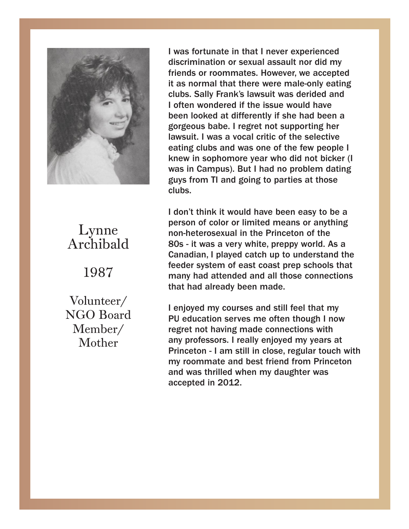

#### Lynnaid Lynne Archibald

1987

Volunteer/ Mother NGO Board Member/

**I** was fortunate in that I never experienced discrimination or sexual assault nor did my discrimination or sexual assault nor did my friends or roommates. However, we accepted it as normal that there were male-only eating **in the same of the same of the same of the same of the same of the same of the same of the same of the same of the same of the same of the same of the same of the same of the** clubs. Sally Frank's lawsuit was derided and I I often wondered if the issue would have often wondered if the issue would have been a series been a series been a series of the been and the social states of the been and the states of the states of the states of the states of the states of the states of the sta gorgeous babe. I regret not supporting her lawsuit. I was a vocal critic of the selective eating clubs and was one of the few people I whew in sophomore year who did not bicker (i<br>was in Campus). But I had no problem dating who did not bind provided in Campus). But I was in Campus in Campus in Campus in Campus at those service in the service of the service of the service of the service of the service of the service of the service of the servi had no problem dating guys from TI and going clubs. Sally Frank's lawsuit was derided and knew in sophomore year who did not bicker (I clubs.

to parties at those clubs. person of color of immediated it can't drive in general properties. 80s - it was a very white, preppy world. As a Canadian, I played catch up to understand the **10s in the 80s** feeder system of east coast prep schools that many had attended and all those connections<br>that had already been made  $s_{\rm{scat}}$  and  $s_{\rm{scat}}$  becommanded that many schools that many schools that many schools that many schools that  $\sim$ I don't think it would have been easy to be a person of color or limited means or anything that had already been made.

I enjoyed my courses and still feel that my PU education serves me often though I now any professors. I feany enjoyed my years at<br>Princeton - I am still in close, regular touch with education is the offent of the original control in the control of the material control of the my roommate and best friend from Princeton and was thrilled when my daughter was professors. I really enjoyed my years at  $\sim$  100  $\,$ regret not having made connections with any professors. I really enjoyed my years at

Princeton - I am still in close, regular touch with

my roommate and best friend from Princeton

and was thrilled when my daughter was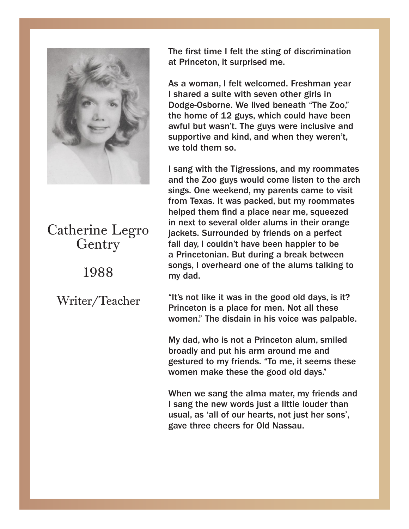

Catherine Legendrich Legendrich Legendrich Legendrich Legendrich Legendrich Legendrich Legendrich Legendrich L 1988 Catherine Legro Gentry

1988 Writer/Teacher

The first time I felt the sting of discrimination Princeton, it surprised me. at Princeton, it surprised me.

As a woman, Fielt welcomed. Freshman year<br>I shared a suite with seven other girls in Dodge-Osborne. We lived beneath "The Zoo," the home of 12 guys, which could have been awful but wasn't. The guys were inclusive and supportive and kind, and when they weren't, and kind, and when the weight  $\alpha$  were the weight  $\alpha$ As a woman, I felt welcomed. Freshman year we told them so.

I sang with the Tigressions, and my roommates sings. One weekend, my parents came to visit from Texas. It was packed, but my roommates helped them find a place near me, squeezed m hext to several older alums in their orange<br>jackets. Surrounded by friends on a perfect fall day, I couldn't have been happier to be a Princetonian. But during a break between songs, I overheard one of the alums talking to dad. I couldn't have been happined by the absolution of the absolution  $\mathbb{R}^n$ and the Zoo guys would come listen to the arch in next to several older alums in their orange my dad.

"It's not like it was in the good old days, is it? some the alumn the good of days, is it.<br>Princeton is a place for men. Not all these women." The disdain in his voice was palpable.

My dad, who is not a Princeton alum, smiled broadly and put his arm around me and<br>continued to my friends, "To me, it assume these and gestured to my menus. To me, it seems these<br>women make these the good old days." gestured to my friends. "To me, it seems these

When we sang the alma mater, my friends and I sang the new words just a little louder than usual, as 'all of our hearts, not just her sons', gave three cheers for Old Nassau.

When we say the alma material materials and

I sang the new words just a little louder than usual, as 'all of our hearts, not just her sons',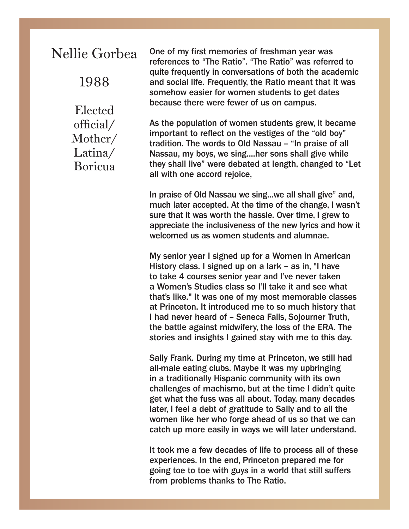### Nellie Gorbea

1988

Elected official/ Mother/ Latina/ Boricua

One of my first memories of freshman year was references to "The Ratio". "The Ratio" was referred to quite frequently in conversations of both the academic and social life. Frequently, the Ratio meant that it was somehow easier for women students to get dates because there were fewer of us on campus.

As the population of women students grew, it became important to reflect on the vestiges of the "old boy" tradition. The words to Old Nassau – "In praise of all Nassau, my boys, we sing....her sons shall give while they shall live" were debated at length, changed to "Let all with one accord rejoice,

In praise of Old Nassau we sing...we all shall give" and, much later accepted. At the time of the change, I wasn't sure that it was worth the hassle. Over time, I grew to appreciate the inclusiveness of the new lyrics and how it welcomed us as women students and alumnae.

My senior year I signed up for a Women in American History class. I signed up on a lark – as in, "I have to take 4 courses senior year and I've never taken a Women's Studies class so I'll take it and see what that's like." It was one of my most memorable classes at Princeton. It introduced me to so much history that I had never heard of – Seneca Falls, Sojourner Truth, the battle against midwifery, the loss of the ERA. The stories and insights I gained stay with me to this day.

Sally Frank. During my time at Princeton, we still had all-male eating clubs. Maybe it was my upbringing in a traditionally Hispanic community with its own challenges of machismo, but at the time I didn't quite get what the fuss was all about. Today, many decades later, I feel a debt of gratitude to Sally and to all the women like her who forge ahead of us so that we can catch up more easily in ways we will later understand.

It took me a few decades of life to process all of these experiences. In the end, Princeton prepared me for going toe to toe with guys in a world that still suffers from problems thanks to The Ratio.